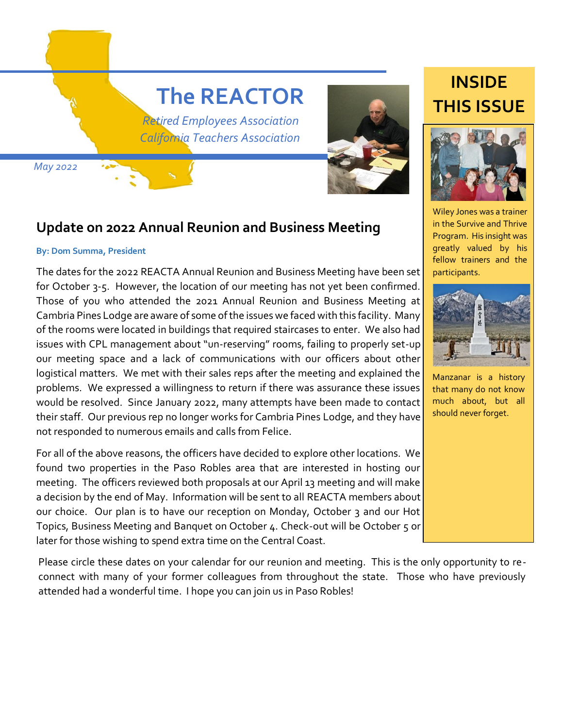# **The REACTOR**

 *Retired Employees Association California Teachers Association*

 *May 2022*



#### **Update on 2022 Annual Reunion and Business Meeting**

#### **By: Dom Summa, President**

The dates for the 2022 REACTA Annual Reunion and Business Meeting have been set for October 3-5. However, the location of our meeting has not yet been confirmed. Those of you who attended the 2021 Annual Reunion and Business Meeting at Cambria Pines Lodge are aware of some of the issues we faced with this facility. Many of the rooms were located in buildings that required staircases to enter. We also had issues with CPL management about "un-reserving" rooms, failing to properly set-up our meeting space and a lack of communications with our officers about other logistical matters. We met with their sales reps after the meeting and explained the problems. We expressed a willingness to return if there was assurance these issues would be resolved. Since January 2022, many attempts have been made to contact their staff. Our previous rep no longer works for Cambria Pines Lodge, and they have not responded to numerous emails and calls from Felice.

For all of the above reasons, the officers have decided to explore other locations. We found two properties in the Paso Robles area that are interested in hosting our meeting. The officers reviewed both proposals at our April 13 meeting and will make a decision by the end of May. Information will be sent to all REACTA members about our choice. Our plan is to have our reception on Monday, October 3 and our Hot Topics, Business Meeting and Banquet on October 4. Check-out will be October 5 or later for those wishing to spend extra time on the Central Coast.

F attended had a wonderful time. I hope you can join us in Paso Robles! Please circle these dates on your calendar for our reunion and meeting. This is the only opportunity to reconnect with many of your former colleagues from throughout the state. Those who have previously

# **INSIDE THIS ISSUE**



Wiley Jones was a trainer in the Survive and Thrive Program. His insight was greatly valued by his fellow trainers and the participants.



Manzanar is a history that many do not know much about, but all should never forget.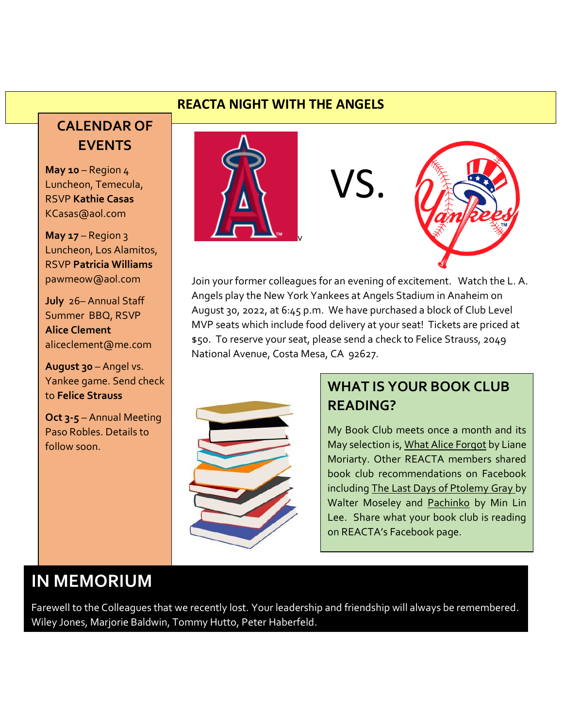#### **REACTA NIGHT WITH THE ANGELS**

## **CALENDAR OF EVENTS**

**May 10** – Region 4 Luncheon, Temecula, RSVP **Kathie Casas** KCasas@aol.com

**May 17** – Region 3 Luncheon, Los Alamitos, RSVP **Patricia Williams** pawmeow@aol.com

**July** 26– Annual Staff Summer BBQ, RSVP **Alice Clement** aliceclement@me.com

**August 30** – Angel vs. Yankee game. Send check to **Felice Strauss**

**Oct 3-5** – Annual Meeting Paso Robles. Details to follow soon.



VS.



Join your former colleagues for an evening of excitement. Watch the L. A. Angels play the New York Yankees at Angels Stadium in Anaheim on August 30, 2022, at 6:45 p.m. We have purchased a block of Club Level MVP seats which include food delivery at your seat! Tickets are priced at \$50. To reserve your seat, please send a check to Felice Strauss, 2049 National Avenue, Costa Mesa, CA 92627.



#### **WHAT IS YOUR BOOK CLUB READING?**

My Book Club meets once a month and its May selection is, What Alice Forgot by Liane Moriarty. Other REACTA members shared book club recommendations on Facebook including The Last Days of Ptolemy Gray by Walter Moseley and Pachinko by Min Lin Lee. Share what your book club is reading on REACTA's Facebook page.

# **IN MEMORIUM**

Farewell to the Colleagues that we recently lost. Your leadership and friendship will always be remembered. Wiley Jones, Marjorie Baldwin, Tommy Hutto, Peter Haberfeld.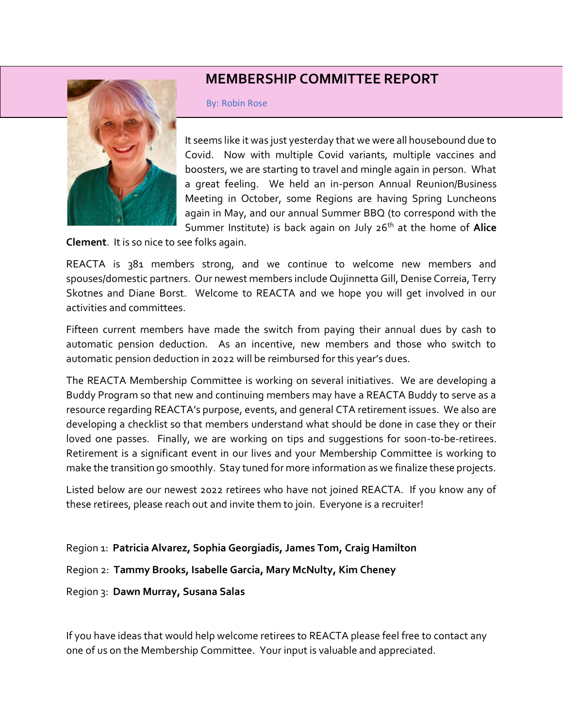#### **MEMBERSHIP COMMITTEE REPORT**



By: Robin Rose

It seems like it was just yesterday that we were all housebound due to Covid. Now with multiple Covid variants, multiple vaccines and boosters, we are starting to travel and mingle again in person. What a great feeling. We held an in-person Annual Reunion/Business Meeting in October, some Regions are having Spring Luncheons again in May, and our annual Summer BBQ (to correspond with the Summer Institute) is back again on July 26th at the home of **Alice** 

**Clement**. It is so nice to see folks again.

REACTA is 381 members strong, and we continue to welcome new members and spouses/domestic partners. Our newest members include Qujinnetta Gill, Denise Correia, Terry Skotnes and Diane Borst. Welcome to REACTA and we hope you will get involved in our activities and committees.

Fifteen current members have made the switch from paying their annual dues by cash to automatic pension deduction. As an incentive, new members and those who switch to automatic pension deduction in 2022 will be reimbursed for this year's dues.

The REACTA Membership Committee is working on several initiatives. We are developing a Buddy Program so that new and continuing members may have a REACTA Buddy to serve as a resource regarding REACTA's purpose, events, and general CTA retirement issues. We also are developing a checklist so that members understand what should be done in case they or their loved one passes. Finally, we are working on tips and suggestions for soon-to-be-retirees. Retirement is a significant event in our lives and your Membership Committee is working to make the transition go smoothly. Stay tuned for more information as we finalize these projects.

Listed below are our newest 2022 retirees who have not joined REACTA. If you know any of these retirees, please reach out and invite them to join. Everyone is a recruiter!

Region 1: **Patricia Alvarez, Sophia Georgiadis, James Tom, Craig Hamilton** Region 2: **Tammy Brooks, Isabelle Garcia, Mary McNulty, Kim Cheney** Region 3: **Dawn Murray, Susana Salas**

If you have ideas that would help welcome retirees to REACTA please feel free to contact any one of us on the Membership Committee. Your input is valuable and appreciated.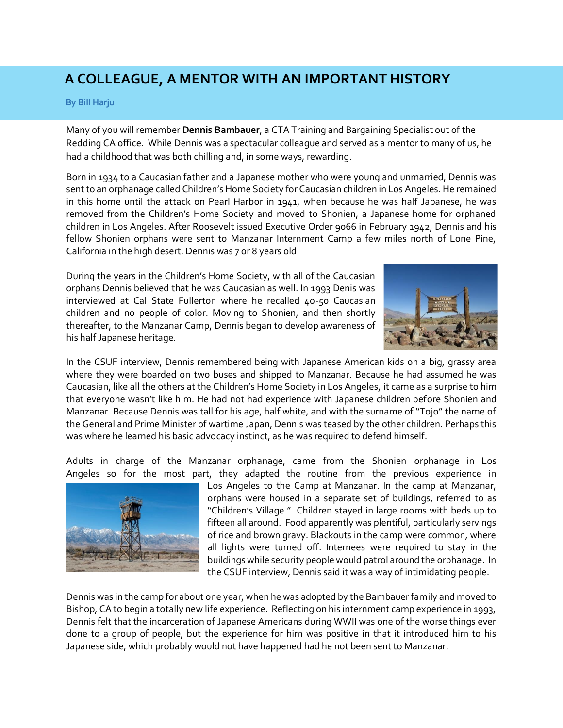### **A COLLEAGUE, A MENTOR WITH AN IMPORTANT HISTORY**

#### **By Bill Harju**

Many of you will remember **Dennis Bambauer**, a CTA Training and Bargaining Specialist out of the Redding CA office. While Dennis was a spectacular colleague and served as a mentor to many of us, he had a childhood that was both chilling and, in some ways, rewarding.

Born in 1934 to a Caucasian father and a Japanese mother who were young and unmarried, Dennis was sent to an orphanage called Children's Home Society for Caucasian children in Los Angeles. He remained in this home until the attack on Pearl Harbor in 1941, when because he was half Japanese, he was removed from the Children's Home Society and moved to Shonien, a Japanese home for orphaned children in Los Angeles. After Roosevelt issued Executive Order 9066 in February 1942, Dennis and his fellow Shonien orphans were sent to Manzanar Internment Camp a few miles north of Lone Pine, California in the high desert. Dennis was 7 or 8 years old.

During the years in the Children's Home Society, with all of the Caucasian orphans Dennis believed that he was Caucasian as well. In 1993 Denis was interviewed at Cal State Fullerton where he recalled 40-50 Caucasian children and no people of color. Moving to Shonien, and then shortly thereafter, to the Manzanar Camp, Dennis began to develop awareness of his half Japanese heritage.



In the CSUF interview, Dennis remembered being with Japanese American kids on a big, grassy area where they were boarded on two buses and shipped to Manzanar. Because he had assumed he was Caucasian, like all the others at the Children's Home Society in Los Angeles, it came as a surprise to him that everyone wasn't like him. He had not had experience with Japanese children before Shonien and Manzanar. Because Dennis was tall for his age, half white, and with the surname of "Tojo" the name of the General and Prime Minister of wartime Japan, Dennis was teased by the other children. Perhaps this was where he learned his basic advocacy instinct, as he was required to defend himself.

Adults in charge of the Manzanar orphanage, came from the Shonien orphanage in Los Angeles so for the most part, they adapted the routine from the previous experience in



Los Angeles to the Camp at Manzanar. In the camp at Manzanar, orphans were housed in a separate set of buildings, referred to as "Children's Village." Children stayed in large rooms with beds up to fifteen all around. Food apparently was plentiful, particularly servings of rice and brown gravy. Blackouts in the camp were common, where all lights were turned off. Internees were required to stay in the buildings while security people would patrol around the orphanage. In the CSUF interview, Dennis said it was a way of intimidating people.

Dennis was in the camp for about one year, when he was adopted by the Bambauer family and moved to Bishop, CA to begin a totally new life experience. Reflecting on his internment camp experience in 1993, Dennis felt that the incarceration of Japanese Americans during WWII was one of the worse things ever done to a group of people, but the experience for him was positive in that it introduced him to his Japanese side, which probably would not have happened had he not been sent to Manzanar.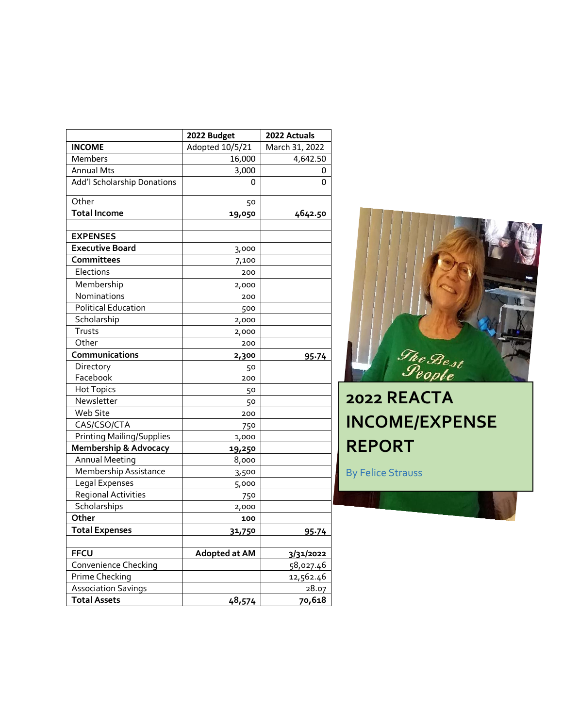|                                  | 2022 Budget     | 2022 Actuals   |
|----------------------------------|-----------------|----------------|
| <b>INCOME</b>                    | Adopted 10/5/21 | March 31, 2022 |
| Members                          | 16,000          | 4,642.50       |
| <b>Annual Mts</b>                | 3,000           | 0              |
| Add'l Scholarship Donations      | 0               | 0              |
| Other                            | 50              |                |
| <b>Total Income</b>              | 19,050          | 4642.50        |
|                                  |                 |                |
| <b>EXPENSES</b>                  |                 |                |
| <b>Executive Board</b>           | 3,000           |                |
| Committees                       | 7,100           |                |
| Elections                        | 200             |                |
| Membership                       | 2,000           |                |
| Nominations                      | 200             |                |
| <b>Political Education</b>       | 500             |                |
| Scholarship                      | 2,000           |                |
| Trusts                           | 2,000           |                |
| Other                            | 200             |                |
| Communications                   | 2,300           | 95.74          |
| Directory                        | 50              |                |
| Facebook                         | 200             |                |
| <b>Hot Topics</b>                | 50              |                |
| Newsletter                       | 50              |                |
| Web Site                         | 200             |                |
| CAS/CSO/CTA                      | 750             |                |
| <b>Printing Mailing/Supplies</b> | 1,000           |                |
| <b>Membership &amp; Advocacy</b> | 19,250          |                |
| <b>Annual Meeting</b>            | 8,000           |                |
| Membership Assistance            | 3,500           |                |
| Legal Expenses                   | 5,000           |                |
| Regional Activities              | 750             |                |
| Scholarships                     | 2,000           |                |
| Other                            | 100             |                |
| <b>Total Expenses</b>            | 31,750          | 95.74          |
| <b>FFCU</b>                      | Adopted at AM   |                |
| Convenience Checking             |                 | 3/31/2022      |
| Prime Checking                   |                 | 58,027.46      |
| <b>Association Savings</b>       |                 | 12,562.46      |
|                                  |                 | 28.07          |
| <b>Total Assets</b>              | 48,574          | 70,618         |



# **2022 REACTA INCOME/EXPENSE REPORT**

By Felice Strauss